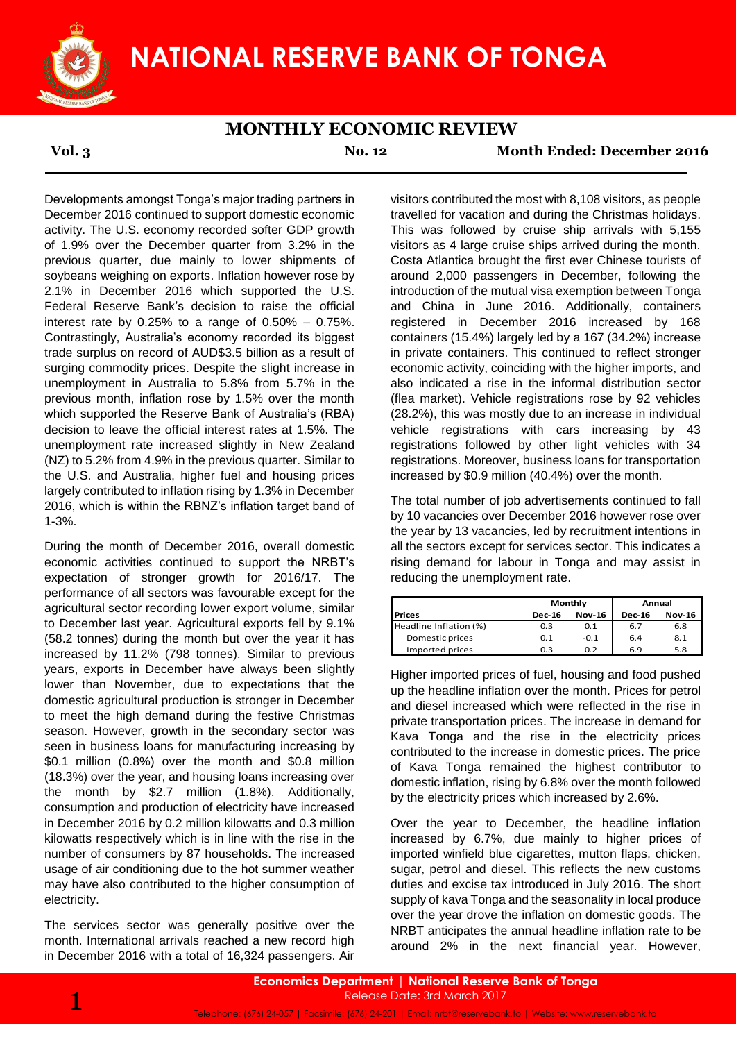

## **MONTHLY ECONOMIC REVIEW**

**Vol. 3 No. 12 Month Ended: December 2016**

Developments amongst Tonga's major trading partners in December 2016 continued to support domestic economic activity. The U.S. economy recorded softer GDP growth of 1.9% over the December quarter from 3.2% in the previous quarter, due mainly to lower shipments of soybeans weighing on exports. Inflation however rose by 2.1% in December 2016 which supported the U.S. Federal Reserve Bank's decision to raise the official interest rate by  $0.25\%$  to a range of  $0.50\%$  –  $0.75\%$ . Contrastingly, Australia's economy recorded its biggest trade surplus on record of AUD\$3.5 billion as a result of surging commodity prices. Despite the slight increase in unemployment in Australia to 5.8% from 5.7% in the previous month, inflation rose by 1.5% over the month which supported the Reserve Bank of Australia's (RBA) decision to leave the official interest rates at 1.5%. The unemployment rate increased slightly in New Zealand (NZ) to 5.2% from 4.9% in the previous quarter. Similar to the U.S. and Australia, higher fuel and housing prices largely contributed to inflation rising by 1.3% in December 2016, which is within the RBNZ's inflation target band of 1-3%.

During the month of December 2016, overall domestic economic activities continued to support the NRBT's expectation of stronger growth for 2016/17. The performance of all sectors was favourable except for the agricultural sector recording lower export volume, similar to December last year. Agricultural exports fell by 9.1% (58.2 tonnes) during the month but over the year it has increased by 11.2% (798 tonnes). Similar to previous years, exports in December have always been slightly lower than November, due to expectations that the domestic agricultural production is stronger in December to meet the high demand during the festive Christmas season. However, growth in the secondary sector was seen in business loans for manufacturing increasing by \$0.1 million (0.8%) over the month and \$0.8 million (18.3%) over the year, and housing loans increasing over the month by \$2.7 million (1.8%). Additionally, consumption and production of electricity have increased in December 2016 by 0.2 million kilowatts and 0.3 million kilowatts respectively which is in line with the rise in the number of consumers by 87 households. The increased usage of air conditioning due to the hot summer weather may have also contributed to the higher consumption of electricity.

The services sector was generally positive over the month. International arrivals reached a new record high in December 2016 with a total of 16,324 passengers. Air

visitors contributed the most with 8,108 visitors, as people travelled for vacation and during the Christmas holidays. This was followed by cruise ship arrivals with 5,155 visitors as 4 large cruise ships arrived during the month. Costa Atlantica brought the first ever Chinese tourists of around 2,000 passengers in December, following the introduction of the mutual visa exemption between Tonga and China in June 2016. Additionally, containers registered in December 2016 increased by 168 containers (15.4%) largely led by a 167 (34.2%) increase in private containers. This continued to reflect stronger economic activity, coinciding with the higher imports, and also indicated a rise in the informal distribution sector (flea market). Vehicle registrations rose by 92 vehicles (28.2%), this was mostly due to an increase in individual vehicle registrations with cars increasing by 43 registrations followed by other light vehicles with 34 registrations. Moreover, business loans for transportation increased by \$0.9 million (40.4%) over the month.

The total number of job advertisements continued to fall by 10 vacancies over December 2016 however rose over the year by 13 vacancies, led by recruitment intentions in all the sectors except for services sector. This indicates a rising demand for labour in Tonga and may assist in reducing the unemployment rate.

|                        |               | Monthly       | Annual |               |  |
|------------------------|---------------|---------------|--------|---------------|--|
| <b>Prices</b>          | <b>Dec-16</b> | <b>Nov-16</b> |        | <b>Nov-16</b> |  |
| Headline Inflation (%) | 0.3           | 0.1           | 6.7    | 6.8           |  |
| Domestic prices        | 0.1           | $-0.1$        | 6.4    | 8.1           |  |
| Imported prices        | 0.3           | 0.2           | 6.9    | 5.8           |  |

Higher imported prices of fuel, housing and food pushed up the headline inflation over the month. Prices for petrol and diesel increased which were reflected in the rise in private transportation prices. The increase in demand for Kava Tonga and the rise in the electricity prices contributed to the increase in domestic prices. The price of Kava Tonga remained the highest contributor to domestic inflation, rising by 6.8% over the month followed by the electricity prices which increased by 2.6%.

Over the year to December, the headline inflation increased by 6.7%, due mainly to higher prices of imported winfield blue cigarettes, mutton flaps, chicken, sugar, petrol and diesel. This reflects the new customs duties and excise tax introduced in July 2016. The short supply of kava Tonga and the seasonality in local produce over the year drove the inflation on domestic goods. The NRBT anticipates the annual headline inflation rate to be around 2% in the next financial year. However,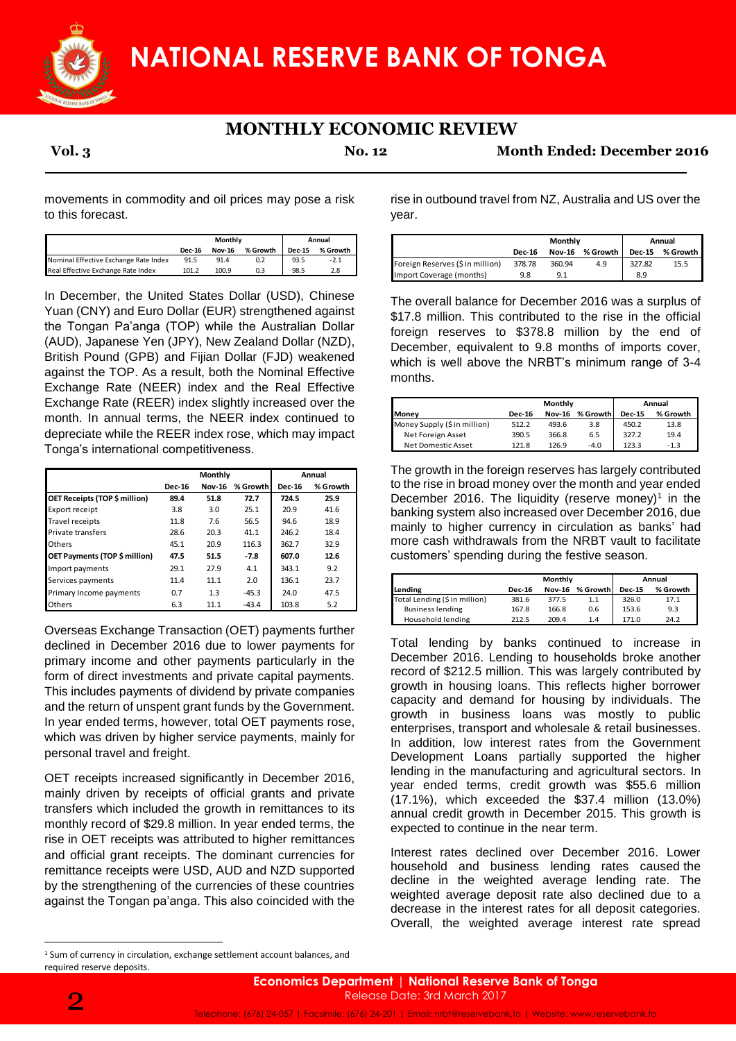

## **MONTHLY ECONOMIC REVIEW**

**Vol. 3 No. 12 Month Ended: December 2016**

movements in commodity and oil prices may pose a risk to this forecast.

|                                       | Monthly       |               |          | Annual        |          |  |
|---------------------------------------|---------------|---------------|----------|---------------|----------|--|
|                                       | <b>Dec-16</b> | <b>Nov-16</b> | % Growth | <b>Dec-15</b> | % Growth |  |
| Nominal Effective Exchange Rate Index | 91.5          | 91.4          | 0.2      | 93.5          | $-2.1$   |  |
| Real Effective Exchange Rate Index    | 101.2         | 100.9         | 0.3      | 98.5          | 2.8      |  |

In December, the United States Dollar (USD), Chinese Yuan (CNY) and Euro Dollar (EUR) strengthened against the Tongan Pa'anga (TOP) while the Australian Dollar (AUD), Japanese Yen (JPY), New Zealand Dollar (NZD), British Pound (GPB) and Fijian Dollar (FJD) weakened against the TOP. As a result, both the Nominal Effective Exchange Rate (NEER) index and the Real Effective Exchange Rate (REER) index slightly increased over the month. In annual terms, the NEER index continued to depreciate while the REER index rose, which may impact Tonga's international competitiveness.

|                               | Monthly                        |      |          | Annual        |          |
|-------------------------------|--------------------------------|------|----------|---------------|----------|
|                               | <b>Dec-16</b><br><b>Nov-16</b> |      | % Growth | <b>Dec-16</b> | % Growth |
| OET Receipts (TOP \$ million) | 89.4                           | 51.8 | 72.7     | 724.5         | 25.9     |
| Export receipt                | 3.8                            | 3.0  | 25.1     | 20.9          | 41.6     |
| Travel receipts               | 11.8                           | 7.6  | 56.5     | 94.6          | 18.9     |
| Private transfers             | 28.6                           | 20.3 | 41.1     | 246.2         | 18.4     |
| Others                        | 45.1                           | 20.9 | 116.3    | 362.7         | 32.9     |
| OET Payments (TOP \$ million) | 47.5                           | 51.5 | $-7.8$   | 607.0         | 12.6     |
| Import payments               | 29.1                           | 27.9 | 4.1      | 343.1         | 9.2      |
| Services payments             | 11.4                           | 11.1 | 2.0      | 136.1         | 23.7     |
| Primary Income payments       | 0.7                            | 1.3  | $-45.3$  | 24.0          | 47.5     |
| <b>Others</b>                 | 6.3                            | 11.1 | $-43.4$  | 103.8         | 5.2      |

Overseas Exchange Transaction (OET) payments further declined in December 2016 due to lower payments for primary income and other payments particularly in the form of direct investments and private capital payments. This includes payments of dividend by private companies and the return of unspent grant funds by the Government. In year ended terms, however, total OET payments rose, which was driven by higher service payments, mainly for personal travel and freight.

OET receipts increased significantly in December 2016, mainly driven by receipts of official grants and private transfers which included the growth in remittances to its monthly record of \$29.8 million. In year ended terms, the rise in OET receipts was attributed to higher remittances and official grant receipts. The dominant currencies for remittance receipts were USD, AUD and NZD supported by the strengthening of the currencies of these countries against the Tongan pa'anga. This also coincided with the

rise in outbound travel from NZ, Australia and US over the year.

|                                  | Monthly       |        |                 | Annual        |            |  |
|----------------------------------|---------------|--------|-----------------|---------------|------------|--|
|                                  | <b>Dec-16</b> |        | Nov-16 % Growth | <b>Dec-15</b> | % Growth I |  |
| Foreign Reserves (\$ in million) | 378.78        | 360.94 | 4.9             | 327.82        | 15.5       |  |
| Import Coverage (months)         | 9.8           | Q 1    |                 | 8.9           |            |  |

The overall balance for December 2016 was a surplus of \$17.8 million. This contributed to the rise in the official foreign reserves to \$378.8 million by the end of December, equivalent to 9.8 months of imports cover, which is well above the NRBT's minimum range of 3-4 months.

|                              | Monthly       |               |          | Annual        |          |  |
|------------------------------|---------------|---------------|----------|---------------|----------|--|
| <b>Money</b>                 | <b>Dec-16</b> | <b>Nov-16</b> | % Growth | <b>Dec-15</b> | % Growth |  |
| Money Supply (\$ in million) | 512.2         | 493.6         | 3.8      | 450.2         | 13.8     |  |
| Net Foreign Asset            | 390.5         | 366.8         | 6.5      | 327.2         | 19.4     |  |
| Net Domestic Asset           | 121.8         | 126.9         | $-4.0$   | 123.3         | $-1.3$   |  |

The growth in the foreign reserves has largely contributed to the rise in broad money over the month and year ended December 2016. The liquidity (reserve money)<sup>1</sup> in the banking system also increased over December 2016, due mainly to higher currency in circulation as banks' had more cash withdrawals from the NRBT vault to facilitate customers' spending during the festive season.

|                               |               | <b>Monthly</b> |          |               | Annual   |  |  |
|-------------------------------|---------------|----------------|----------|---------------|----------|--|--|
| Lending                       | <b>Dec-16</b> | <b>Nov-16</b>  | % Growth | <b>Dec-15</b> | % Growth |  |  |
| Total Lending (\$ in million) | 381.6         | 377.5          | 1.1      | 326.0         | 17.1     |  |  |
| <b>Business lending</b>       | 167.8         | 166.8          | 0.6      | 153.6         | 9.3      |  |  |
| Household lending             | 212.5         | 209.4          | 1.4      | 171.0         | 24.2     |  |  |

Total lending by banks continued to increase in December 2016. Lending to households broke another record of \$212.5 million. This was largely contributed by growth in housing loans. This reflects higher borrower capacity and demand for housing by individuals. The growth in business loans was mostly to public enterprises, transport and wholesale & retail businesses. In addition, low interest rates from the Government Development Loans partially supported the higher lending in the manufacturing and agricultural sectors. In year ended terms, credit growth was \$55.6 million (17.1%), which exceeded the \$37.4 million (13.0%) annual credit growth in December 2015. This growth is expected to continue in the near term.

Interest rates declined over December 2016. Lower household and business lending rates caused the decline in the weighted average lending rate. The weighted average deposit rate also declined due to a decrease in the interest rates for all deposit categories. Overall, the weighted average interest rate spread

**<sup>.</sup>** <sup>1</sup> Sum of currency in circulation, exchange settlement account balances, and required reserve deposits.